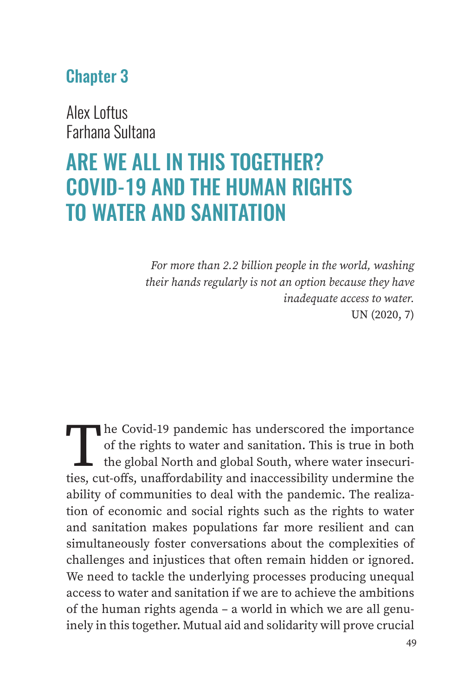## Chapter 3

Alex Loftus Farhana Sultana

# ARE WE ALL IN THIS TOGETHER? COVID-19 AND THE HUMAN RIGHTS TO WATER AND SANITATION

*For more than 2.2 billion people in the world, washing their hands regularly is not an option because they have inadequate access to water.* UN (2020, 7)

The Covid-19 pandemic has underscored the importance of the rights to water and sanitation. This is true in both the global North and global South, where water insecurities, cut-offs, unaffordability and inaccessibility undermine the ability of communities to deal with the pandemic. The realization of economic and social rights such as the rights to water and sanitation makes populations far more resilient and can simultaneously foster conversations about the complexities of challenges and injustices that often remain hidden or ignored. We need to tackle the underlying processes producing unequal access to water and sanitation if we are to achieve the ambitions of the human rights agenda – a world in which we are all genuinely in this together. Mutual aid and solidarity will prove crucial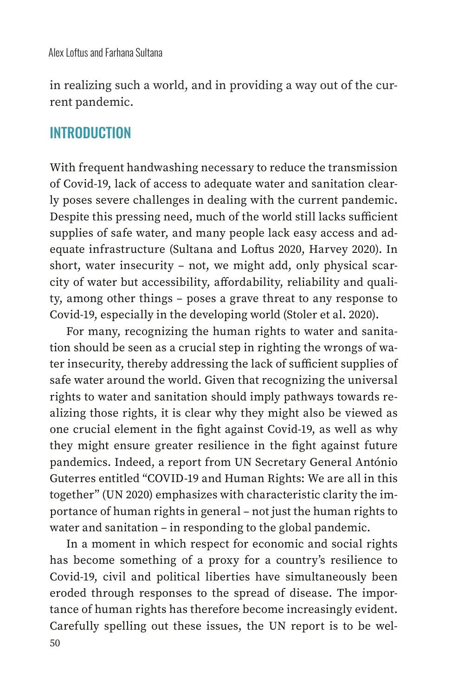in realizing such a world, and in providing a way out of the current pandemic.

#### **INTRODUCTION**

With frequent handwashing necessary to reduce the transmission of Covid-19, lack of access to adequate water and sanitation clearly poses severe challenges in dealing with the current pandemic. Despite this pressing need, much of the world still lacks sufficient supplies of safe water, and many people lack easy access and adequate infrastructure (Sultana and Loftus 2020, Harvey 2020). In short, water insecurity – not, we might add, only physical scarcity of water but accessibility, affordability, reliability and quality, among other things – poses a grave threat to any response to Covid-19, especially in the developing world (Stoler et al. 2020).

For many, recognizing the human rights to water and sanitation should be seen as a crucial step in righting the wrongs of water insecurity, thereby addressing the lack of sufficient supplies of safe water around the world. Given that recognizing the universal rights to water and sanitation should imply pathways towards realizing those rights, it is clear why they might also be viewed as one crucial element in the fight against Covid-19, as well as why they might ensure greater resilience in the fight against future pandemics. Indeed, a report from UN Secretary General António Guterres entitled "COVID-19 and Human Rights: We are all in this together" (UN 2020) emphasizes with characteristic clarity the importance of human rights in general – not just the human rights to water and sanitation – in responding to the global pandemic.

50 In a moment in which respect for economic and social rights has become something of a proxy for a country's resilience to Covid-19, civil and political liberties have simultaneously been eroded through responses to the spread of disease. The importance of human rights has therefore become increasingly evident. Carefully spelling out these issues, the UN report is to be wel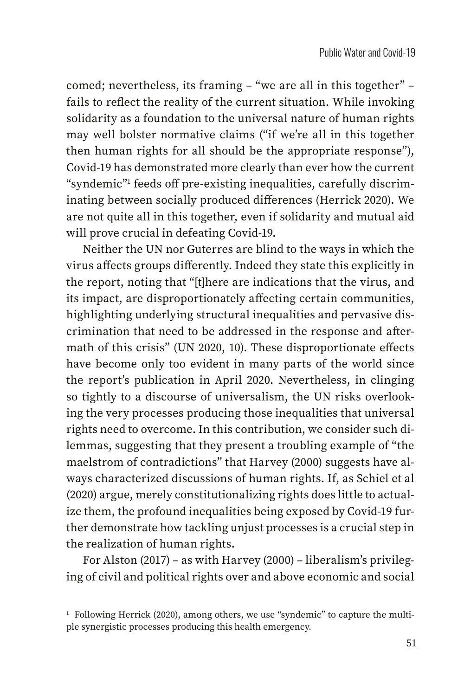comed; nevertheless, its framing – "we are all in this together" – fails to reflect the reality of the current situation. While invoking solidarity as a foundation to the universal nature of human rights may well bolster normative claims ("if we're all in this together then human rights for all should be the appropriate response"), Covid-19 has demonstrated more clearly than ever how the current "syndemic"1 feeds off pre-existing inequalities, carefully discriminating between socially produced differences (Herrick 2020). We are not quite all in this together, even if solidarity and mutual aid will prove crucial in defeating Covid-19.

Neither the UN nor Guterres are blind to the ways in which the virus affects groups differently. Indeed they state this explicitly in the report, noting that "[t]here are indications that the virus, and its impact, are disproportionately affecting certain communities, highlighting underlying structural inequalities and pervasive discrimination that need to be addressed in the response and aftermath of this crisis" (UN 2020, 10). These disproportionate effects have become only too evident in many parts of the world since the report's publication in April 2020. Nevertheless, in clinging so tightly to a discourse of universalism, the UN risks overlooking the very processes producing those inequalities that universal rights need to overcome. In this contribution, we consider such dilemmas, suggesting that they present a troubling example of "the maelstrom of contradictions" that Harvey (2000) suggests have always characterized discussions of human rights. If, as Schiel et al (2020) argue, merely constitutionalizing rights does little to actualize them, the profound inequalities being exposed by Covid-19 further demonstrate how tackling unjust processes is a crucial step in the realization of human rights.

For Alston (2017) – as with Harvey (2000) – liberalism's privileging of civil and political rights over and above economic and social

 $1$  Following Herrick (2020), among others, we use "syndemic" to capture the multiple synergistic processes producing this health emergency.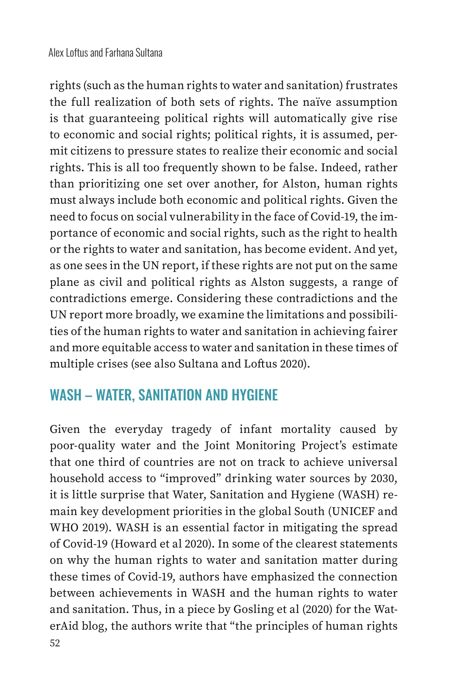rights (such as the human rights to water and sanitation) frustrates the full realization of both sets of rights. The naïve assumption is that guaranteeing political rights will automatically give rise to economic and social rights; political rights, it is assumed, permit citizens to pressure states to realize their economic and social rights. This is all too frequently shown to be false. Indeed, rather than prioritizing one set over another, for Alston, human rights must always include both economic and political rights. Given the need to focus on social vulnerability in the face of Covid-19, the importance of economic and social rights, such as the right to health or the rights to water and sanitation, has become evident. And yet, as one sees in the UN report, if these rights are not put on the same plane as civil and political rights as Alston suggests, a range of contradictions emerge. Considering these contradictions and the UN report more broadly, we examine the limitations and possibilities of the human rights to water and sanitation in achieving fairer and more equitable access to water and sanitation in these times of multiple crises (see also Sultana and Loftus 2020).

## WASH – WATER, SANITATION AND HYGIENE

Given the everyday tragedy of infant mortality caused by poor-quality water and the Joint Monitoring Project's estimate that one third of countries are not on track to achieve universal household access to "improved" drinking water sources by 2030, it is little surprise that Water, Sanitation and Hygiene (WASH) remain key development priorities in the global South (UNICEF and WHO 2019). WASH is an essential factor in mitigating the spread of Covid-19 (Howard et al 2020). In some of the clearest statements on why the human rights to water and sanitation matter during these times of Covid-19, authors have emphasized the connection between achievements in WASH and the human rights to water and sanitation. Thus, in a piece by Gosling et al (2020) for the WaterAid blog, the authors write that "the principles of human rights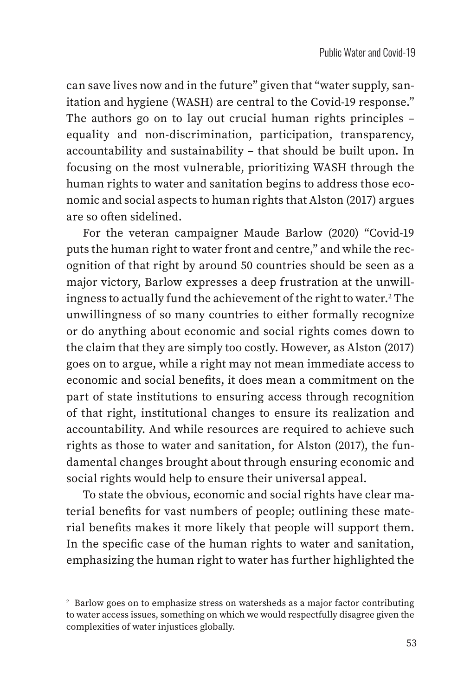can save lives now and in the future" given that "water supply, sanitation and hygiene (WASH) are central to the Covid-19 response." The authors go on to lay out crucial human rights principles – equality and non-discrimination, participation, transparency, accountability and sustainability – that should be built upon. In focusing on the most vulnerable, prioritizing WASH through the human rights to water and sanitation begins to address those economic and social aspects to human rights that Alston (2017) argues are so often sidelined.

For the veteran campaigner Maude Barlow (2020) "Covid-19 puts the human right to water front and centre," and while the recognition of that right by around 50 countries should be seen as a major victory, Barlow expresses a deep frustration at the unwillingness to actually fund the achievement of the right to water. $^{\rm 2}$  The unwillingness of so many countries to either formally recognize or do anything about economic and social rights comes down to the claim that they are simply too costly. However, as Alston (2017) goes on to argue, while a right may not mean immediate access to economic and social benefits, it does mean a commitment on the part of state institutions to ensuring access through recognition of that right, institutional changes to ensure its realization and accountability. And while resources are required to achieve such rights as those to water and sanitation, for Alston (2017), the fundamental changes brought about through ensuring economic and social rights would help to ensure their universal appeal.

To state the obvious, economic and social rights have clear material benefits for vast numbers of people; outlining these material benefits makes it more likely that people will support them. In the specific case of the human rights to water and sanitation, emphasizing the human right to water has further highlighted the

<sup>&</sup>lt;sup>2</sup> Barlow goes on to emphasize stress on watersheds as a major factor contributing to water access issues, something on which we would respectfully disagree given the complexities of water injustices globally.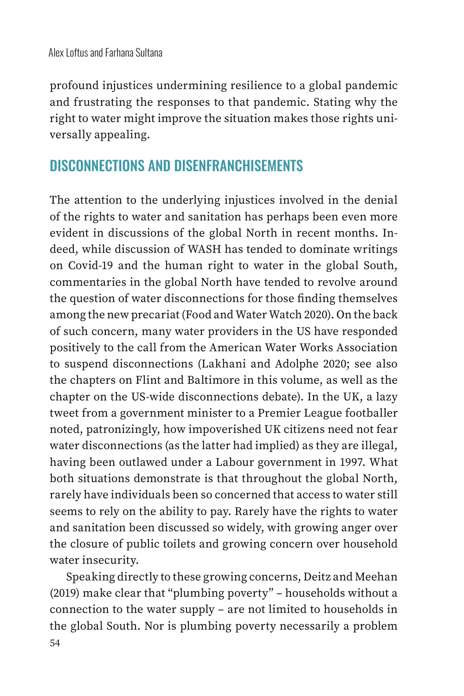profound injustices undermining resilience to a global pandemic and frustrating the responses to that pandemic. Stating why the right to water might improve the situation makes those rights universally appealing.

## DISCONNECTIONS AND DISENFRANCHISEMENTS

The attention to the underlying injustices involved in the denial of the rights to water and sanitation has perhaps been even more evident in discussions of the global North in recent months. Indeed, while discussion of WASH has tended to dominate writings on Covid-19 and the human right to water in the global South, commentaries in the global North have tended to revolve around the question of water disconnections for those finding themselves among the new precariat (Food and Water Watch 2020). On the back of such concern, many water providers in the US have responded positively to the call from the American Water Works Association to suspend disconnections (Lakhani and Adolphe 2020; see also the chapters on Flint and Baltimore in this volume, as well as the chapter on the US-wide disconnections debate). In the UK, a lazy tweet from a government minister to a Premier League footballer noted, patronizingly, how impoverished UK citizens need not fear water disconnections (as the latter had implied) as they are illegal, having been outlawed under a Labour government in 1997. What both situations demonstrate is that throughout the global North, rarely have individuals been so concerned that access to water still seems to rely on the ability to pay. Rarely have the rights to water and sanitation been discussed so widely, with growing anger over the closure of public toilets and growing concern over household water insecurity.

Speaking directly to these growing concerns, Deitz and Meehan (2019) make clear that "plumbing poverty" – households without a connection to the water supply – are not limited to households in the global South. Nor is plumbing poverty necessarily a problem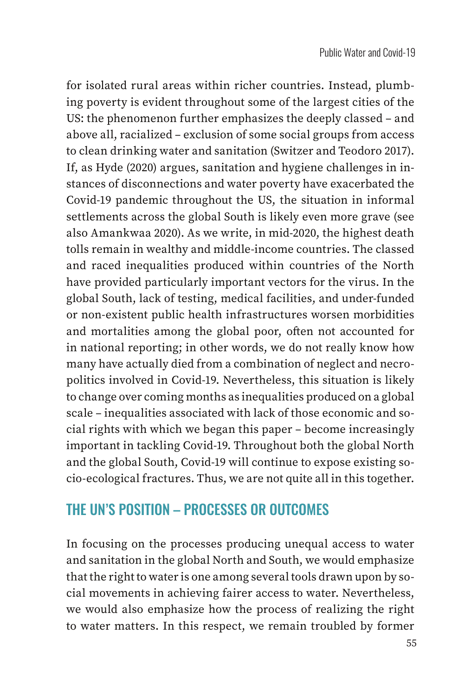for isolated rural areas within richer countries. Instead, plumbing poverty is evident throughout some of the largest cities of the US: the phenomenon further emphasizes the deeply classed – and above all, racialized – exclusion of some social groups from access to clean drinking water and sanitation (Switzer and Teodoro 2017). If, as Hyde (2020) argues, sanitation and hygiene challenges in instances of disconnections and water poverty have exacerbated the Covid-19 pandemic throughout the US, the situation in informal settlements across the global South is likely even more grave (see also Amankwaa 2020). As we write, in mid-2020, the highest death tolls remain in wealthy and middle-income countries. The classed and raced inequalities produced within countries of the North have provided particularly important vectors for the virus. In the global South, lack of testing, medical facilities, and under-funded or non-existent public health infrastructures worsen morbidities and mortalities among the global poor, often not accounted for in national reporting; in other words, we do not really know how many have actually died from a combination of neglect and necropolitics involved in Covid-19. Nevertheless, this situation is likely to change over coming months as inequalities produced on a global scale – inequalities associated with lack of those economic and social rights with which we began this paper – become increasingly important in tackling Covid-19. Throughout both the global North and the global South, Covid-19 will continue to expose existing socio-ecological fractures. Thus, we are not quite all in this together.

#### THE UN'S POSITION – PROCESSES OR OUTCOMES

In focusing on the processes producing unequal access to water and sanitation in the global North and South, we would emphasize that the right to water is one among several tools drawn upon by social movements in achieving fairer access to water. Nevertheless, we would also emphasize how the process of realizing the right to water matters. In this respect, we remain troubled by former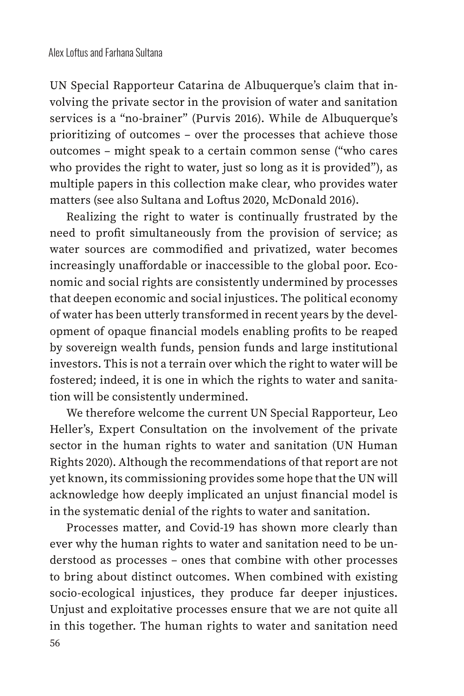UN Special Rapporteur Catarina de Albuquerque's claim that involving the private sector in the provision of water and sanitation services is a "no-brainer" (Purvis 2016). While de Albuquerque's prioritizing of outcomes – over the processes that achieve those outcomes – might speak to a certain common sense ("who cares who provides the right to water, just so long as it is provided"), as multiple papers in this collection make clear, who provides water matters (see also Sultana and Loftus 2020, McDonald 2016).

Realizing the right to water is continually frustrated by the need to profit simultaneously from the provision of service; as water sources are commodified and privatized, water becomes increasingly unaffordable or inaccessible to the global poor. Economic and social rights are consistently undermined by processes that deepen economic and social injustices. The political economy of water has been utterly transformed in recent years by the development of opaque financial models enabling profits to be reaped by sovereign wealth funds, pension funds and large institutional investors. This is not a terrain over which the right to water will be fostered; indeed, it is one in which the rights to water and sanitation will be consistently undermined.

We therefore welcome the current UN Special Rapporteur, Leo Heller's, Expert Consultation on the involvement of the private sector in the human rights to water and sanitation (UN Human Rights 2020). Although the recommendations of that report are not yet known, its commissioning provides some hope that the UN will acknowledge how deeply implicated an unjust financial model is in the systematic denial of the rights to water and sanitation.

56 Processes matter, and Covid-19 has shown more clearly than ever why the human rights to water and sanitation need to be understood as processes – ones that combine with other processes to bring about distinct outcomes. When combined with existing socio-ecological injustices, they produce far deeper injustices. Unjust and exploitative processes ensure that we are not quite all in this together. The human rights to water and sanitation need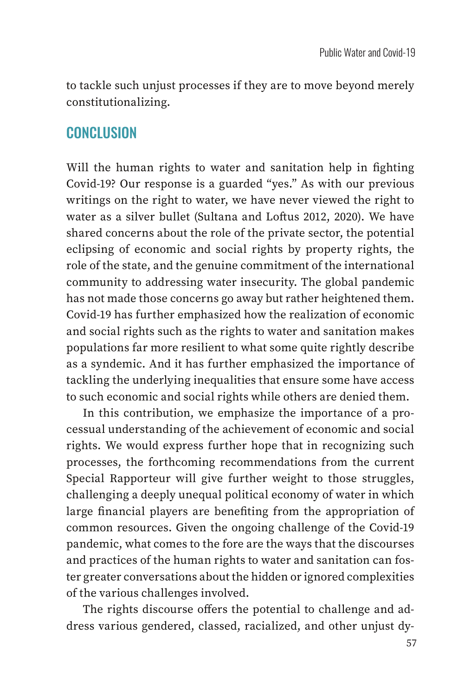to tackle such unjust processes if they are to move beyond merely constitutionalizing.

#### CONCLUSION

Will the human rights to water and sanitation help in fighting Covid-19? Our response is a guarded "yes." As with our previous writings on the right to water, we have never viewed the right to water as a silver bullet (Sultana and Loftus 2012, 2020). We have shared concerns about the role of the private sector, the potential eclipsing of economic and social rights by property rights, the role of the state, and the genuine commitment of the international community to addressing water insecurity. The global pandemic has not made those concerns go away but rather heightened them. Covid-19 has further emphasized how the realization of economic and social rights such as the rights to water and sanitation makes populations far more resilient to what some quite rightly describe as a syndemic. And it has further emphasized the importance of tackling the underlying inequalities that ensure some have access to such economic and social rights while others are denied them.

In this contribution, we emphasize the importance of a processual understanding of the achievement of economic and social rights. We would express further hope that in recognizing such processes, the forthcoming recommendations from the current Special Rapporteur will give further weight to those struggles, challenging a deeply unequal political economy of water in which large financial players are benefiting from the appropriation of common resources. Given the ongoing challenge of the Covid-19 pandemic, what comes to the fore are the ways that the discourses and practices of the human rights to water and sanitation can foster greater conversations about the hidden or ignored complexities of the various challenges involved.

The rights discourse offers the potential to challenge and address various gendered, classed, racialized, and other unjust dy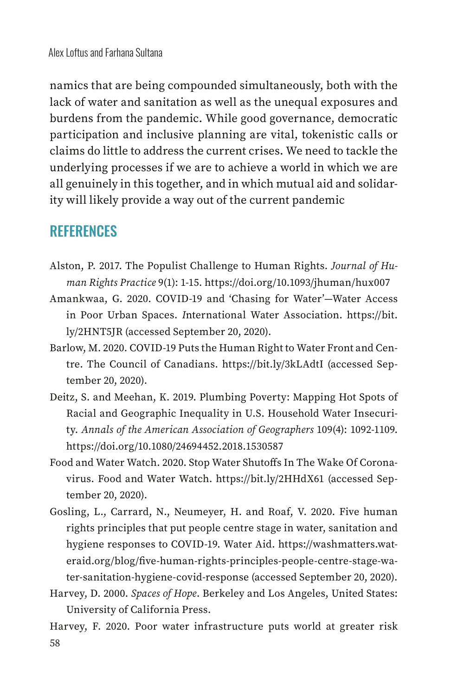namics that are being compounded simultaneously, both with the lack of water and sanitation as well as the unequal exposures and burdens from the pandemic. While good governance, democratic participation and inclusive planning are vital, tokenistic calls or claims do little to address the current crises. We need to tackle the underlying processes if we are to achieve a world in which we are all genuinely in this together, and in which mutual aid and solidarity will likely provide a way out of the current pandemic

## **REFERENCES**

- Alston, P. 2017. The Populist Challenge to Human Rights. *Journal of Human Rights Practice* 9(1): 1-15. https://doi.org/10.1093/jhuman/hux007
- Amankwaa, G. 2020. COVID-19 and 'Chasing for Water'—Water Access in Poor Urban Spaces. *I*nternational Water Association. https://bit. ly/2HNT5JR (accessed September 20, 2020).
- Barlow, M. 2020. COVID-19 Puts the Human Right to Water Front and Centre. The Council of Canadians. https://bit.ly/3kLAdtI (accessed September 20, 2020).
- Deitz, S. and Meehan, K. 2019. Plumbing Poverty: Mapping Hot Spots of Racial and Geographic Inequality in U.S. Household Water Insecurity. *Annals of the American Association of Geographers* 109(4): 1092-1109. https://doi.org/10.1080/24694452.2018.1530587
- Food and Water Watch. 2020. Stop Water Shutoffs In The Wake Of Coronavirus. Food and Water Watch. https://bit.ly/2HHdX61 (accessed September 20, 2020).
- Gosling, L., Carrard, N., Neumeyer, H. and Roaf, V. 2020. Five human rights principles that put people centre stage in water, sanitation and hygiene responses to COVID-19. Water Aid. https://washmatters.wateraid.org/blog/five-human-rights-principles-people-centre-stage-water-sanitation-hygiene-covid-response (accessed September 20, 2020).
- Harvey, D. 2000. *Spaces of Hope*. Berkeley and Los Angeles, United States: University of California Press.

58 Harvey, F. 2020. Poor water infrastructure puts world at greater risk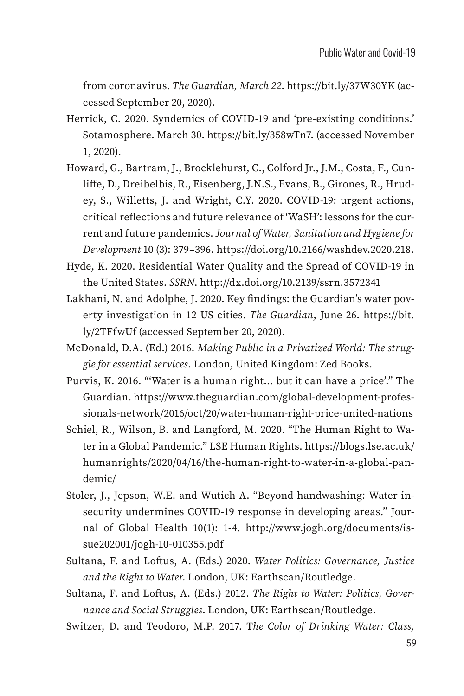from coronavirus. *The Guardian, March 22*. https://bit.ly/37W30YK (accessed September 20, 2020).

- Herrick, C. 2020. Syndemics of COVID-19 and 'pre-existing conditions.' Sotamosphere. March 30. https://bit.ly/358wTn7. (accessed November 1, 2020).
- Howard, G., Bartram, J., Brocklehurst, C., Colford Jr., J.M., Costa, F., Cunliffe, D., Dreibelbis, R., Eisenberg, J.N.S., Evans, B., Girones, R., Hrudey, S., Willetts, J. and Wright, C.Y. 2020. COVID-19: urgent actions, critical reflections and future relevance of 'WaSH': lessons for the current and future pandemics. *Journal of Water, Sanitation and Hygiene for Development* 10 (3): 379–396. https://doi.org/10.2166/washdev.2020.218.
- Hyde, K. 2020. Residential Water Quality and the Spread of COVID-19 in the United States. *SSRN*. http://dx.doi.org/10.2139/ssrn.3572341
- Lakhani, N. and Adolphe, J. 2020. Key findings: the Guardian's water poverty investigation in 12 US cities. *The Guardian*, June 26. https://bit. ly/2TFfwUf (accessed September 20, 2020).
- McDonald, D.A. (Ed.) 2016. *Making Public in a Privatized World: The struggle for essential services*. London, United Kingdom: Zed Books.
- Purvis, K. 2016. "'Water is a human right… but it can have a price'." The Guardian. https://www.theguardian.com/global-development-professionals-network/2016/oct/20/water-human-right-price-united-nations
- Schiel, R., Wilson, B. and Langford, M. 2020. "The Human Right to Water in a Global Pandemic." LSE Human Rights. https://blogs.lse.ac.uk/ humanrights/2020/04/16/the-human-right-to-water-in-a-global-pandemic/
- Stoler, J., Jepson, W.E. and Wutich A. "Beyond handwashing: Water insecurity undermines COVID-19 response in developing areas." Journal of Global Health 10(1): 1-4. http://www.jogh.org/documents/issue202001/jogh-10-010355.pdf
- Sultana, F. and Loftus, A. (Eds.) 2020. *Water Politics: Governance, Justice and the Right to Water*. London, UK: Earthscan/Routledge.
- Sultana, F. and Loftus, A. (Eds.) 2012. *The Right to Water: Politics, Governance and Social Struggles*. London, UK: Earthscan/Routledge.
- Switzer, D. and Teodoro, M.P. 2017. T*he Color of Drinking Water: Class,*